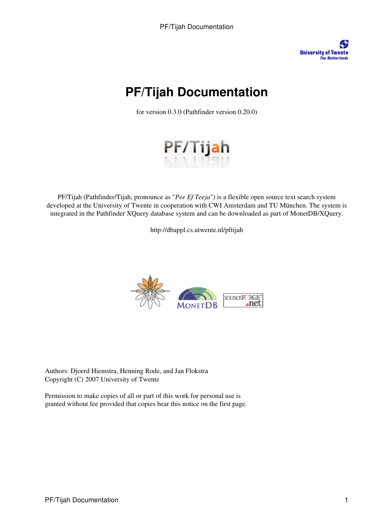**University of Twente The Netherlands** 

# **PF/Tijah Documentation**

for version 0.3.0 (Pathfinder version 0.20.0)



PF/Tijah (Pathfinder/Tijah, pronounce as "*Pee Ef Teeja*") is a flexible open source text search system developed at the University of Twente in cooperation with CWI Amsterdam and TU München. The system is integrated in the Pathfinder XQuery database system and can be downloaded as part of MonetDB/XQuery.

http://dbappl.cs.utwente.nl/pftijah



Authors: Djoerd Hiemstra, Henning Rode, and Jan Flokstra Copyright (C) 2007 University of Twente

Permission to make copies of all or part of this work for personal use is granted without fee provided that copies bear this notice on the first page.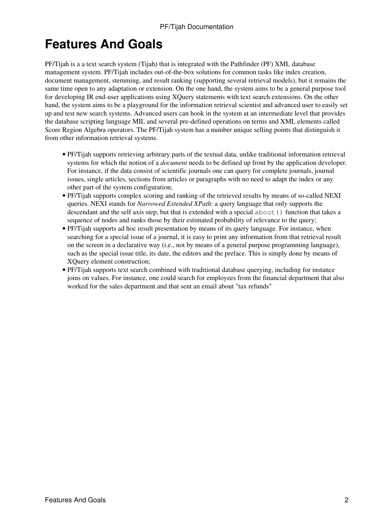# **Features And Goals**

PF/Tijah is a a text search system (Tijah) that is integrated with the Pathfinder (PF) XML database management system. PF/Tijah includes out-of-the-box solutions for common tasks like index creation, document management, stemming, and result ranking (supporting several retrieval models), but it remains the same time open to any adaptation or extension. On the one hand, the system aims to be a general purpose tool for developing IR end-user applications using XQuery statements with text search extensions. On the other hand, the system aims to be a playground for the information retrieval scientist and advanced user to easily set up and test new search systems. Advanced users can hook in the system at an intermediate level that provides the database scripting language MIL and several pre-defined operations on terms and XML elements called Score Region Algebra operators. The PF/Tijah system has a number unique selling points that distinguish it from other information retrieval systems.

- PF/Tijah supports retrieving arbitrary parts of the textual data, unlike traditional information retrieval systems for which the notion of a *document* needs to be defined up front by the application developer. For instance, if the data consist of scientific journals one can query for complete journals, journal issues, single articles, sections from articles or paragraphs with no need to adapt the index or any other part of the system configuration;
- PF/Tijah supports complex scoring and ranking of the retrieved results by means of so-called NEXI queries. NEXI stands for *Narrowed Extended XPath*: a query language that only supports the descendant and the self axis step, but that is extended with a special about() function that takes a sequence of nodes and ranks those by their estimated probability of relevance to the query;
- PF/Tijah supports ad hoc result presentation by means of its query language. For instance, when searching for a special issue of a journal, it is easy to print any information from that retrieval result on the screen in a declarative way (i.e., not by means of a general purpose programming language), such as the special issue title, its date, the editors and the preface. This is simply done by means of XQuery element construction;
- PF/Tijah supports text search combined with traditional database querying, including for instance joins on values. For instance, one could search for employees from the financial department that also worked for the sales department and that sent an email about "tax refunds"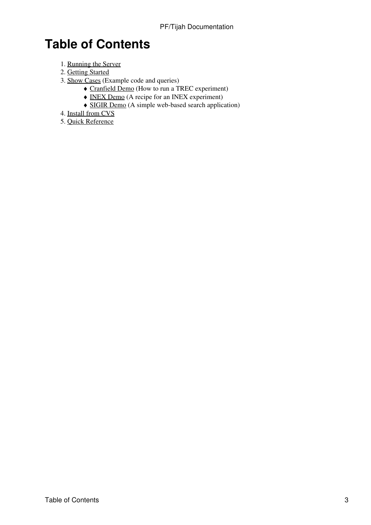# **Table of Contents**

- 1. Running the Server
- 2. Getting Started
- 3. Show Cases (Example code and queries)
	- ♦ Cranfield Demo (How to run a TREC experiment)
	- ♦ INEX Demo (A recipe for an INEX experiment)
	- ♦ SIGIR Demo (A simple web-based search application)
- 4. Install from CVS
- 5. Quick Reference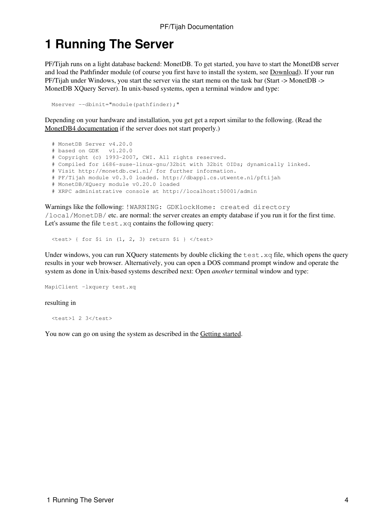## **1 Running The Server**

PF/Tijah runs on a light database backend: MonetDB. To get started, you have to start the MonetDB server and load the Pathfinder module (of course you first have to install the system, see Download). If your run PF/Tijah under Windows, you start the server via the start menu on the task bar (Start -> MonetDB -> MonetDB XQuery Server). In unix-based systems, open a terminal window and type:

```
Mserver --dbinit="module(pathfinder);"
```
Depending on your hardware and installation, you get get a report similar to the following. (Read the MonetDB4 documentation if the server does not start properly.)

```
 # MonetDB Server v4.20.0
 # based on GDK v1.20.0
 # Copyright (c) 1993-2007, CWI. All rights reserved.
 # Compiled for i686-suse-linux-gnu/32bit with 32bit OIDs; dynamically linked.
 # Visit http://monetdb.cwi.nl/ for further information.
 # PF/Tijah module v0.3.0 loaded. http://dbappl.cs.utwente.nl/pftijah
 # MonetDB/XQuery module v0.20.0 loaded
 # XRPC administrative console at http://localhost:50001/admin
```
Warnings like the following: !WARNING: GDKlockHome: created directory /local/MonetDB/ etc. are normal: the server creates an empty database if you run it for the first time. Let's assume the file test.  $xq$  contains the following query:

 $\text{Sets}$  { for \$i in (1, 2, 3) return \$i } </test>

Under windows, you can run XQuery statements by double clicking the  $test$ .  $xq$  file, which opens the query results in your web browser. Alternatively, you can open a DOS command prompt window and operate the system as done in Unix-based systems described next: Open *another* terminal window and type:

MapiClient -lxquery test.xq

#### resulting in

<test>1 2 3</test>

You now can go on using the system as described in the Getting started.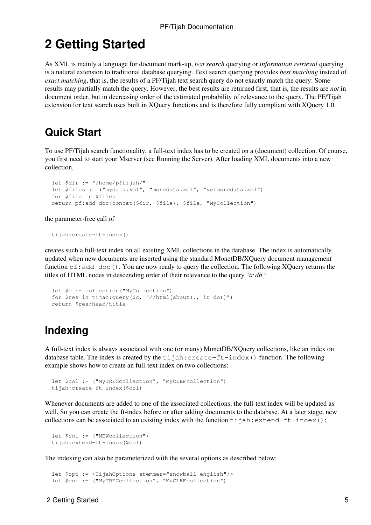# **2 Getting Started**

As XML is mainly a language for document mark-up, *text search* querying or *information retrieval* querying is a natural extension to traditional database querying. Text search querying provides *best matching* instead of *exact matching*, that is, the results of a PF/Tijah text search query do not exactly match the query: Some results may partially match the query. However, the best results are returned first, that is, the results are *not* in document order, but in decreasing order of the estimated probability of relevance to the query. The PF/Tijah extension for text search uses built in XQuery functions and is therefore fully compliant with XQuery 1.0.

### **Quick Start**

To use PF/Tijah search functionality, a full-text index has to be created on a (document) collection. Of course, you first need to start your Mserver (see Running the Server). After loading XML documents into a new collection,

```
 let $dir := "/home/pftijah/"
 let $files := ("mydata.xml", "moredata.xml", "yetmoredata.xml")
 for $file in $files
 return pf:add-doc(concat($dir, $file), $file, "MyCollection")
```
the parameter-free call of

tijah:create-ft-index()

creates such a full-text index on all existing XML collections in the database. The index is automatically updated when new documents are inserted using the standard MonetDB/XQuery document management function  $pf:add-doc()$ . You are now ready to query the collection. The following XQuery returns the titles of HTML nodes in descending order of their relevance to the query "*ir db*":

```
 let $c := collection("MyCollection")
 for $res in tijah:query($c, "//html[about(., ir db)]")
 return $res/head/title
```
## **Indexing**

A full-text index is always associated with one (or many) MonetDB/XQuery collections, like an index on database table. The index is created by the  $t$  i jah: create-ft-index() function. The following example shows how to create an full-text index on two collections:

```
 let $col := ("MyTRECcollection", "MyCLEFcollection")
 tijah:create-ft-index($col)
```
Whenever documents are added to one of the associated collections, the full-text index will be updated as well. So you can create the ft-index before or after adding documents to the database. At a later stage, new collections can be associated to an existing index with the function  $\text{ti}$  jah:extend-ft-index():

```
let $col := ("NEWcollection")
 tijah:extend-ft-index($col)
```
The indexing can also be parameterized with the several options as described below:

```
 let $opt := <TijahOptions stemmer="snowball-english"/>
 let $col := ("MyTRECcollection", "MyCLEFcollection")
```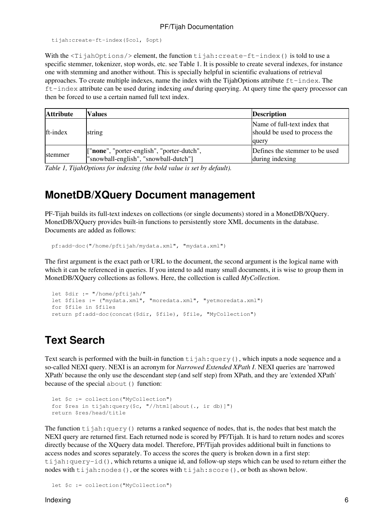```
 tijah:create-ft-index($col, $opt)
```
With the  $\langle Ti \rangle$  jahOptions/> element, the function tijah: create-ft-index() is told to use a specific stemmer, tokenizer, stop words, etc. see Table 1. It is possible to create several indexes, for instance one with stemming and another without. This is specially helpful in scientific evaluations of retrieval approaches. To create multiple indexes, name the index with the TijahOptions attribute  $ft$ -index. The ft-index attribute can be used during indexing *and* during querying. At query time the query processor can then be forced to use a certain named full text index.

| <b>Attribute</b> | <b>Values</b>                                                                       | <b>Description</b>                                                     |
|------------------|-------------------------------------------------------------------------------------|------------------------------------------------------------------------|
| ft-index         | string                                                                              | Name of full-text index that<br>should be used to process the<br>query |
| <b>Istemmer</b>  | ["none", "porter-english", "porter-dutch",<br>"snowball-english", "snowball-dutch"] | Defines the stemmer to be used<br>during indexing                      |

*Table 1, TijahOptions for indexing (the bold value is set by default).*

### **MonetDB/XQuery Document management**

PF-Tijah builds its full-text indexes on collections (or single documents) stored in a MonetDB/XQuery. MonetDB/XQuery provides built-in functions to persistently store XML documents in the database. Documents are added as follows:

```
 pf:add-doc("/home/pftijah/mydata.xml", "mydata.xml")
```
The first argument is the exact path or URL to the document, the second argument is the logical name with which it can be referenced in queries. If you intend to add many small documents, it is wise to group them in MonetDB/XQuery collections as follows. Here, the collection is called *MyCollection*.

```
 let $dir := "/home/pftijah/"
 let $files := ("mydata.xml", "moredata.xml", "yetmoredata.xml")
 for $file in $files
 return pf:add-doc(concat($dir, $file), $file, "MyCollection")
```
## **Text Search**

Text search is performed with the built-in function  $\forall$  i  $\exists$  ah: query(), which inputs a node sequence and a so-called NEXI query. NEXI is an acronym for *Narrowed Extended XPath I*. NEXI queries are 'narrowed XPath' because the only use the descendant step (and self step) from XPath, and they are 'extended XPath' because of the special about () function:

```
 let $c := collection("MyCollection")
 for $res in tijah:query($c, "//html[about(., ir db)]")
 return $res/head/title
```
The function  $\text{ti}$  jah: query() returns a ranked sequence of nodes, that is, the nodes that best match the NEXI query are returned first. Each returned node is scored by PF/Tijah. It is hard to return nodes and scores directly because of the XQuery data model. Therefore, PF/Tijah provides additional built in functions to access nodes and scores separately. To access the scores the query is broken down in a first step:  $t$ ijah: query-id(), which returns a unique id, and follow-up steps which can be used to return either the nodes with  $\text{ti}$  jah:nodes(), or the scores with  $\text{ti}$  jah:score(), or both as shown below.

```
 let $c := collection("MyCollection")
```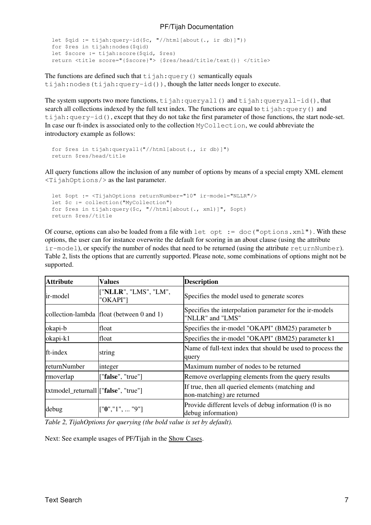```
let \Sqid := tijah:query-id(\Sc, "//html[about(., ir db)]"))
 for $res in tijah:nodes($qid)
 let $score := tijah:score($qid, $res)
 return <title score="{$score}"> {$res/head/title/text()} </title>
```
The functions are defined such that  $\text{ti}$  jah: query() semantically equals tijah:nodes(tijah:query-id()), though the latter needs longer to execute.

The system supports two more functions,  $\pm i$  jah: queryall() and  $\pm i$  jah: queryall-id(), that search all collections indexed by the full text index. The functions are equal to  $\forall$  i jah: query() and  $t$ ijah: $query-id()$ , except that they do not take the first parameter of those functions, the start node-set. In case our ft-index is associated only to the collection MyCollection, we could abbreviate the introductory example as follows:

```
 for $res in tijah:queryall("//html[about(., ir db)]")
 return $res/head/title
```
All query functions allow the inclusion of any number of options by means of a special empty XML element <TijahOptions/> as the last parameter.

```
 let $opt := <TijahOptions returnNumber="10" ir-model="NLLR"/>
 let $c := collection("MyCollection")
 for $res in tijah:query($c, "//html[about(., xml)]", $opt)
 return $res//title
```
Of course, options can also be loaded from a file with let opt :=  $doc("options.xml")$ . With these options, the user can for instance overwrite the default for scoring in an about clause (using the attribute ir-model), or specify the number of nodes that need to be returned (using the attribute returnNumber). Table 2, lists the options that are currently supported. Please note, some combinations of options might not be supported.

| <b>Attribute</b>                      | <b>Values</b>                             | <b>Description</b>                                                             |
|---------------------------------------|-------------------------------------------|--------------------------------------------------------------------------------|
| lir-model                             | ["NLLR", "LMS", "LM",<br>"OKAPI"]         | Specifies the model used to generate scores                                    |
|                                       | collection-lambda float (between 0 and 1) | Specifies the interpolation parameter for the ir-models<br>"NLLR" and "LMS"    |
| okapi-b                               | float                                     | Specifies the ir-model "OKAPI" (BM25) parameter b                              |
| okapi-k1                              | float                                     | Specifies the ir-model "OKAPI" (BM25) parameter k1                             |
| ft-index                              | string                                    | Name of full-text index that should be used to process the<br>query            |
| returnNumber                          | integer                                   | Maximum number of nodes to be returned                                         |
| rmoverlap                             | ["false", "true"]                         | Remove overlapping elements from the query results                             |
| [txtmodel_returnall ["false", "true"] |                                           | If true, then all queried elements (matching and<br>non-matching) are returned |
| debug                                 | $\left[$ "0", "1",  "9"]                  | Provide different levels of debug information (0 is no<br>debug information)   |

*Table 2, TijahOptions for querying (the bold value is set by default).*

Next: See example usages of PF/Tijah in the Show Cases.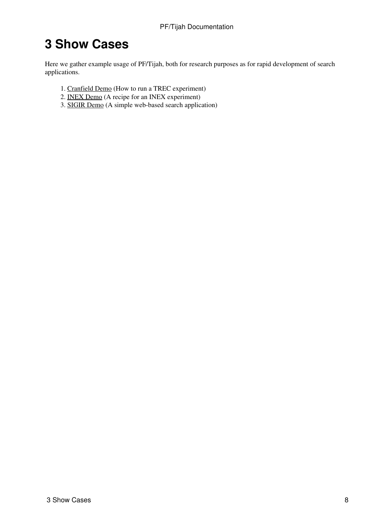# **3 Show Cases**

Here we gather example usage of PF/Tijah, both for research purposes as for rapid development of search applications.

- 1. Cranfield Demo (How to run a TREC experiment)
- 2. INEX Demo (A recipe for an INEX experiment)
- 3. SIGIR Demo (A simple web-based search application)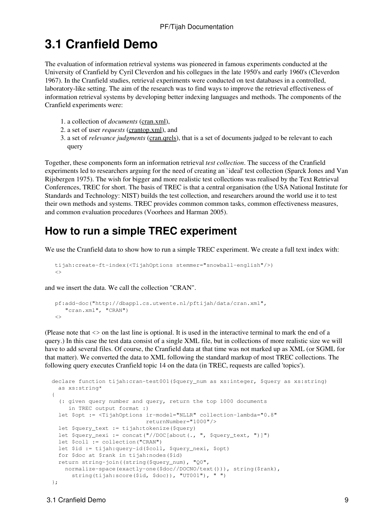## **3.1 Cranfield Demo**

The evaluation of information retrieval systems was pioneered in famous experiments conducted at the University of Cranfield by Cyril Cleverdon and his collegues in the late 1950's and early 1960's (Cleverdon 1967). In the Cranfield studies, retrieval experiments were conducted on test databases in a controlled, laboratory-like setting. The aim of the research was to find ways to improve the retrieval effectiveness of information retrieval systems by developing better indexing languages and methods. The components of the Cranfield experiments were:

- 1. a collection of *documents* (cran.xml),
- 2. a set of user *requests* (crantop.xml), and
- 3. a set of *relevance judgments* (cran.qrels), that is a set of documents judged to be relevant to each query

Together, these components form an information retrieval *test collection*. The success of the Cranfield experiments led to researchers arguing for the need of creating an `ideal' test collection (Sparck Jones and Van Rijsbergen 1975). The wish for bigger and more realistic test collections was realised by the Text Retrieval Conferences, TREC for short. The basis of TREC is that a central organisation (the USA National Institute for Standards and Technology: NIST) builds the test collection, and researchers around the world use it to test their own methods and systems. TREC provides common common tasks, common effectiveness measures, and common evaluation procedures (Voorhees and Harman 2005).

### **How to run a simple TREC experiment**

We use the Cranfield data to show how to run a simple TREC experiment. We create a full text index with:

```
 tijah:create-ft-index(<TijahOptions stemmer="snowball-english"/>)
\langle
```
and we insert the data. We call the collection "CRAN".

```
 pf:add-doc("http://dbappl.cs.utwente.nl/pftijah/data/cran.xml", 
    "cran.xml", "CRAN")
\langle \rangle
```
(Please note that <> on the last line is optional. It is used in the interactive terminal to mark the end of a query.) In this case the test data consist of a single XML file, but in collections of more realistic size we will have to add several files. Of course, the Cranfield data at that time was not marked up as XML (or SGML for that matter). We converted the data to XML following the standard markup of most TREC collections. The following query executes Cranfield topic 14 on the data (in TREC, requests are called 'topics').

```
 declare function tijah:cran-test001($query_num as xs:integer, $query as xs:string) 
   as xs:string*
 {
   (: given query number and query, return the top 1000 documents
     in TREC output format :)
   let $opt := <TijahOptions ir-model="NLLR" collection-lambda="0.8"
                             returnNumber="1000"/>
   let $query_text := tijah:tokenize($query)
  let \betaquery_nexi := concat("//DOC[about(., ", \betaquery_text, ")]")
   let $coll := collection("CRAN")
   let $id := tijah:query-id($coll, $query_nexi, $opt)
   for $doc at $rank in tijah:nodes($id)
   return string-join((string($query_num), "Q0",
   normalize-space(exactly-one($doc//DOCNO/text())), string($rank),
       string(tijah:score($id, $doc)), "UT001"), " ")
 };
```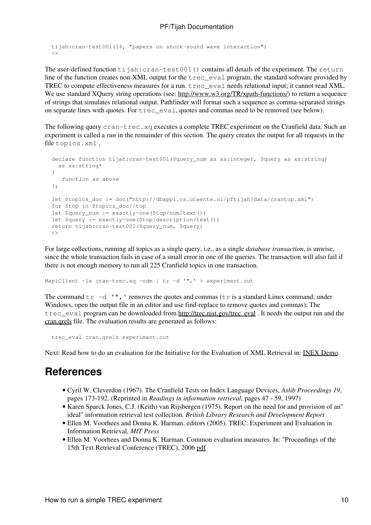```
 tijah:cran-test001(14, "papers on shock-sound wave interaction")
\leq
```
The user-defined function tijah: cran-test001 () contains all details of the experiment. The return line of the function creates non-XML output for the trec\_eval program, the standard software provided by TREC to compute effectiveness measures for a run. trec\_eval needs relational input; it cannot read XML. We use standard XQuery string operations (see: http://www.w3.org/TR/xpath-functions/) to return a sequence of strings that simulates relational output. Pathfinder will format such a sequence as comma-separated strings on separate lines with quotes. For trec\_eval, quotes and commas need to be removed (see below).

The following query  $cran-tree \cdot xq$  executes a complete TREC experiment on the Cranfield data. Such an experiment is called a *run* in the remainder of this section. The query creates the output for all requests in the file topics.xml .

```
 declare function tijah:cran-test001($query_num as xs:integer, $query as xs:string) 
   as xs:string* 
 {
   function as above
 };
 let $topics_doc := doc("http://dbappl.cs.utwente.nl/pftijah/data/crantop.xml")
 for $top in $topics_doc//top
 let $query_num := exactly-one($top/num/text())
 let $query := exactly-one($top/description/text())
 return tijah:cran-test001($query_num, $query)
\leftrightarrow
```
For large collections, running all topics as a single query, i.e., as a single *database transaction*, is unwise, since the whole transaction fails in case of a small error in one of the queries. The transaction will also fail if there is not enough memory to run all 225 Cranfield topics in one transaction.

MapiClient -lx cran-trec.xq -odm | tr -d '",' > experiment.out

The command  $tr -d$  '", ' removes the quotes and commas ( $tr$  is a standard Linux command; under Windows, open the output file in an editor and use find-replace to remove quotes and commas): The trec\_eval program can be downloaded from http://trec.nist.gov/trec\_eval . It needs the output run and the cran.qrels file. The evaluation results are generated as follows:

```
 trec_eval cran.qrels experiment.out
```
Next: Read how to do an evaluation for the Initiative for the Evaluation of XML Retrieval in: INEX Demo.

### **References**

- Cyril W. Cleverdon (1967). The Cranfield Tests on Index Language Devices, *Aslib Proceedings 19*, pages 173-192. (Reprinted in *Readings in information retrieval*, pages 47 - 59, 1997)
- Karen Sparck Jones, C.J. (Keith) van Rijsbergen (1975). Report on the need for and provision of an" ideal" information retrieval test collection. *British Library Research and Development Report*
- Ellen M. Voorhees and Donna K. Harman, editors (2005). TREC: Experiment and Evaluation in Information Retrieval, *MIT Press*
- Ellen M. Voorhees and Donna K. Harman. Common evaluation measures. In: ''Proceedings of the 15th Text Retrieval Conference (TREC), 2006 pdf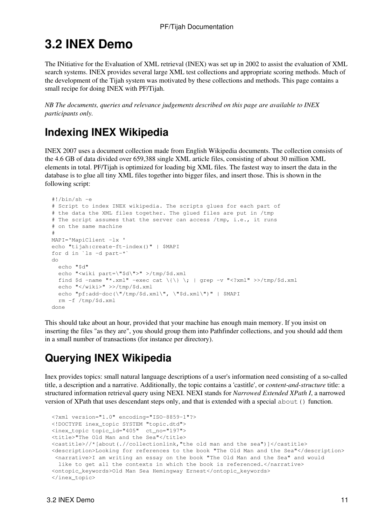# **3.2 INEX Demo**

The INitiative for the Evaluation of XML retrieval (INEX) was set up in 2002 to assist the evaluation of XML search systems. INEX provides several large XML test collections and appropriate scoring methods. Much of the development of the Tijah system was motivated by these collections and methods. This page contains a small recipe for doing INEX with PF/Tijah.

*NB The documents, queries and relevance judgements described on this page are available to INEX participants only.*

## **Indexing INEX Wikipedia**

INEX 2007 uses a document collection made from English Wikipedia documents. The collection consists of the 4.6 GB of data divided over 659,388 single XML article files, consisting of about 30 million XML elements in total. PF/Tijah is optimized for loading big XML files. The fastest way to insert the data in the database is to glue all tiny XML files together into bigger files, and insert those. This is shown in the following script:

```
 #!/bin/sh -e
  # Script to index INEX wikipedia. The scripts glues for each part of 
  # the data the XML files together. The glued files are put in /tmp
  # The script assumes that the server can access /tmp, i.e., it runs
  # on the same machine
 #
  MAPI='MapiClient -lx '
  echo "tijah:create-ft-index()" | $MAPI
  for d in `ls -d part-*`
  do
    echo "$d"
    echo "<wiki part=\"$d\">" >/tmp/$d.xml
   find \dots -name "*.xml" -exec cat \{\{\}\}; | grep -v "<?xml" >>/tmp/$d.xml
    echo "</wiki>" >>/tmp/$d.xml
    echo "pf:add-doc(\"/tmp/$d.xml\", \"$d.xml\")" | $MAPI
    rm -f /tmp/$d.xml
  done
```
This should take about an hour, provided that your machine has enough main memory. If you insist on inserting the files "as they are", you should group them into Pathfinder collections, and you should add them in a small number of transactions (for instance per directory).

## **Querying INEX Wikipedia**

Inex provides topics: small natural language descriptions of a user's information need consisting of a so-called title, a description and a narrative. Additionally, the topic contains a 'castitle', or *content-and-structure* title: a structured information retrieval query using NEXI. NEXI stands for *Narrowed Extended XPath I*, a narrowed version of XPath that uses descendant steps only, and that is extended with a special about() function.

```
 <?xml version="1.0" encoding="ISO-8859-1"?>
 <!DOCTYPE inex_topic SYSTEM "topic.dtd">
 <inex_topic topic_id="405" ct_no="197">
 <title>"The Old Man and the Sea"</title>
 <castitle>//*[about(.//collectionlink,"the old man and the sea")]</castitle>
 <description>Looking for references to the book "The Old Man and the Sea"</description>
 <narrative>I am writing an essay on the book "The Old Man and the Sea" and would
 like to get all the contexts in which the book is referenced.</narrative>
 <ontopic_keywords>Old Man Sea Hemingway Ernest</ontopic_keywords>
 </inex_topic>
```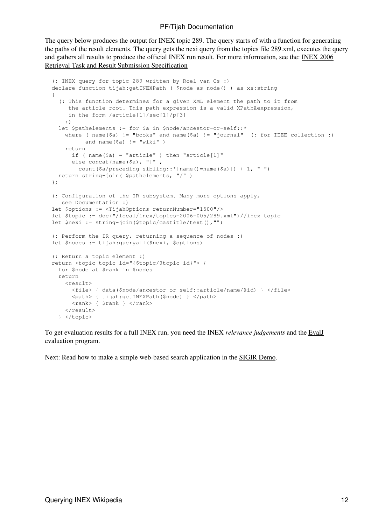The query below produces the output for INEX topic 289. The query starts of with a function for generating the paths of the result elements. The query gets the nexi query from the topics file 289.xml, executes the query and gathers all results to produce the official INEX run result. For more information, see the: INEX 2006 Retrieval Task and Result Submission Specification

```
 (: INEX query for topic 289 written by Roel van Os :)
 declare function tijah:getINEXPath ( $node as node() ) as xs:string 
 {
   (: This function determines for a given XML element the path to it from
      the article root. This path expression is a valid XPathâexpression,
      in the form /article[1]/sec[1]/p[3]
     :)
  let $pathelements := for $a in $node/ancestor-or-self::*
    where ( name($a) != "books" and name($a) != "journal" (: for IEEE collection :)
          and name(\Sa) != "wiki")
     return
      if ( name (\hat{a}) = "article" ) then "article[1]"
       else concat(name($a), "[" ,
         count($a/preceding-sibling::*[name()=name($a)]) + 1, "]")
   return string-join( $pathelements, "/" )
 };
 (: Configuration of the IR subsystem. Many more options apply,
    see Documentation :)
 let $options := <TijahOptions returnNumber="1500"/>
let $topic := doc("/local/inex/topics-2006-005/289.xml")//inex topic
 let $nexi := string-join($topic/castitle/text(),"")
 (: Perform the IR query, returning a sequence of nodes :)
 let $nodes := tijah:queryall($nexi, $options)
 (: Return a topic element :)
 return <topic topic-id="{$topic/@topic_id}"> {
   for $node at $rank in $nodes
   return
     <result>
       <file> { data($node/ancestor-or-self::article/name/@id) } </file>
       <path> { tijah:getINEXPath($node) } </path>
      \langle \text{rank} \rangle { \langle \text{rank} \rangle \langle \text{rank} \rangle </result>
   } </topic>
```
To get evaluation results for a full INEX run, you need the INEX *relevance judgements* and the EvalJ evaluation program.

Next: Read how to make a simple web-based search application in the SIGIR Demo.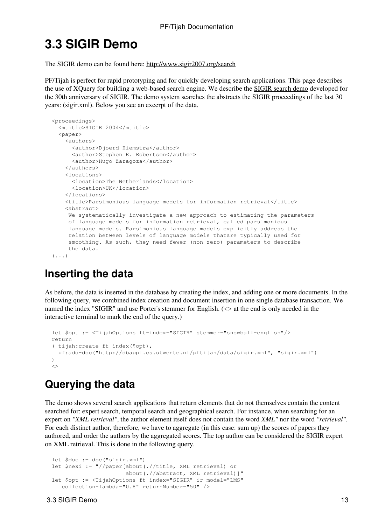# **3.3 SIGIR Demo**

The SIGIR demo can be found here: http://www.sigir2007.org/search

PF/Tijah is perfect for rapid prototyping and for quickly developing search applications. This page describes the use of XQuery for building a web-based search engine. We describe the SIGIR search demo developed for the 30th anniversary of SIGIR. The demo system searches the abstracts the SIGIR proceedings of the last 30 years: (sigir.xml). Below you see an excerpt of the data.

```
 <proceedings>
   <mtitle>SIGIR 2004</mtitle>
  <paper> <authors>
      <author>Djoerd Hiemstra</author>
      <author>Stephen E. Robertson</author>
       <author>Hugo Zaragoza</author>
     </authors>
     <locations>
       <location>The Netherlands</location>
       <location>UK</location>
    </locations>
     <title>Parsimonious language models for information retrieval</title>
     <abstract>
      We systematically investigate a new approach to estimating the parameters
      of language models for information retrieval, called parsimonious 
      language models. Parsimonious language models explicitly address the 
      relation between levels of language models thatare typically used for 
      smoothing. As such, they need fewer (non-zero) parameters to describe 
      the data.
(1, 1)
```
### **Inserting the data**

As before, the data is inserted in the database by creating the index, and adding one or more documents. In the following query, we combined index creation and document insertion in one single database transaction. We named the index "SIGIR" and use Porter's stemmer for English. (<> at the end is only needed in the interactive terminal to mark the end of the query.)

```
 let $opt := <TijahOptions ft-index="SIGIR" stemmer="snowball-english"/>
 return 
 ( tijah:create-ft-index($opt), 
   pf:add-doc("http://dbappl.cs.utwente.nl/pftijah/data/sigir.xml", "sigir.xml")
\lambda\langle \rangle
```
## **Querying the data**

The demo shows several search applications that return elements that do not themselves contain the content searched for: expert search, temporal search and geographical search. For instance, when searching for an expert on *"XML retrieval"*, the author element itself does not contain the word *XML"* nor the word *"retrieval"*. For each distinct author, therefore, we have to aggregate (in this case: sum up) the scores of papers they authored, and order the authors by the aggregated scores. The top author can be considered the SIGIR expert on XML retrieval. This is done in the following query.

```
 let $doc := doc("sigir.xml")
 let $nexi := "//paper[about(.//title, XML retrieval) or 
                        about(.//abstract, XML retrieval)]"
 let $opt := <TijahOptions ft-index="SIGIR" ir-model="LMS"
    collection-lambda="0.8" returnNumber="50" />
```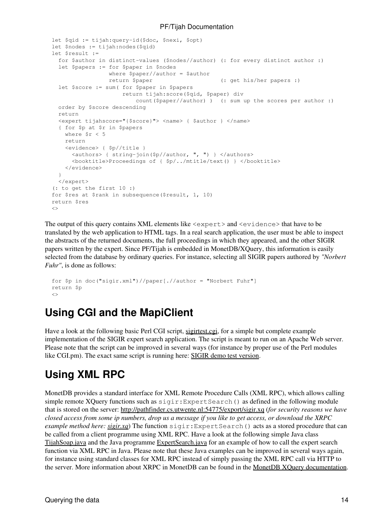```
 let $qid := tijah:query-id($doc, $nexi, $opt)
 let $nodes := tijah:nodes($qid)
 let $result :=
   for $author in distinct-values ($nodes//author) (: for every distinct author :)
   let $papers := for $paper in $nodes
                  where $paper//author = $author
                 return $paper (: get his/her papers :)
   let $score := sum( for $paper in $papers
                      return tijah:score($qid, $paper) div 
                          count($paper//author) ) (: sum up the scores per author :)
   order by $score descending
   return
   <expert tijahscore="{$score}"> <name> { $author } </name>
   { for $p at $r in $papers
   where fr < 5 return
    <evidence> { $p//title }
       <authors> { string-join($p//author, ", ") } </authors>
       <booktitle>Proceedings of { $p/../mtitle/text() } </booktitle>
     </evidence>
   }
   </expert>
 (: to get the first 10 :)
 for $res at $rank in subsequence($result, 1, 10)
 return $res
\langle \rangle
```
The output of this query contains XML elements like <expert> and <evidence> that have to be translated by the web application to HTML tags. In a real search application, the user must be able to inspect the abstracts of the returned documents, the full proceedings in which they appeared, and the other SIGIR papers written by the expert. Since PF/Tijah is embedded in MonetDB/XQuery, this information is easily selected from the database by ordinary queries. For instance, selecting all SIGIR papers authored by *"Norbert Fuhr"*, is done as follows:

```
 for $p in doc("sigir.xml")//paper[.//author = "Norbert Fuhr"]
 return $p
\langle
```
### **Using CGI and the MapiClient**

Have a look at the following basic Perl CGI script, sightest.cgi, for a simple but complete example implementation of the SIGIR expert search application. The script is meant to run on an Apache Web server. Please note that the script can be improved in several ways (for instance by proper use of the Perl modules like CGI.pm). The exact same script is running here: SIGIR demo test version.

## **Using XML RPC**

MonetDB provides a standard interface for XML Remote Procedure Calls (XML RPC), which allows calling simple remote XQuery functions such as  $sigit:ExpertSearch()$  as defined in the following module that is stored on the server: http://pathfinder.cs.utwente.nl:54775/export/sigir.xq (*for security reasons we have closed access from some ip numbers, drop us a message if you like to get access, or download the XRPC example method here: sigir.xq*) The function sigir:ExpertSearch() acts as a stored procedure that can be called from a client programme using XML RPC. Have a look at the following simple Java class TijahSoap.java and the Java programme ExpertSearch.java for an example of how to call the expert search function via XML RPC in Java. Please note that these Java examples can be improved in several ways again, for instance using standard classes for XML RPC instead of simply passing the XML RPC call via HTTP to the server. More information about XRPC in MonetDB can be found in the MonetDB XQuery documentation.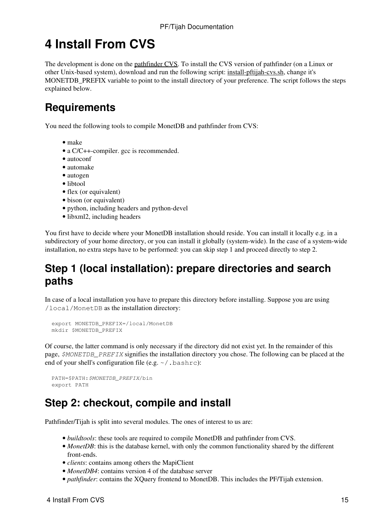# **4 Install From CVS**

The development is done on the pathfinder CVS. To install the CVS version of pathfinder (on a Linux or other Unix-based system), download and run the following script: install-pftijah-cvs.sh, change it's MONETDB PREFIX variable to point to the install directory of your preference. The script follows the steps explained below.

## **Requirements**

You need the following tools to compile MonetDB and pathfinder from CVS:

- make
- a C/C++-compiler. gcc is recommended.
- autoconf
- automake
- autogen
- libtool
- flex (or equivalent)
- bison (or equivalent)
- python, including headers and python-devel
- libxml2, including headers

You first have to decide where your MonetDB installation should reside. You can install it locally e.g. in a subdirectory of your home directory, or you can install it globally (system-wide). In the case of a system-wide installation, no extra steps have to be performed: you can skip step 1 and proceed directly to step 2.

### **Step 1 (local installation): prepare directories and search paths**

In case of a local installation you have to prepare this directory before installing. Suppose you are using /local/MonetDB as the installation directory:

```
 export MONETDB_PREFIX=/local/MonetDB
 mkdir $MONETDB_PREFIX
```
Of course, the latter command is only necessary if the directory did not exist yet. In the remainder of this page, *\$MONETDB\_PREFIX* signifies the installation directory you chose. The following can be placed at the end of your shell's configuration file (e.g.  $\sim$  / . bashrc):

```
 PATH=$PATH:$MONETDB_PREFIX/bin
 export PATH
```
### **Step 2: checkout, compile and install**

Pathfinder/Tijah is split into several modules. The ones of interest to us are:

- *buildtools*: these tools are required to compile MonetDB and pathfinder from CVS.
- MonetDB: this is the database kernel, with only the common functionality shared by the different front-ends.
- *clients*: contains among others the MapiClient
- *MonetDB4*: contains version 4 of the database server
- *pathfinder*: contains the XQuery frontend to MonetDB. This includes the PF/Tijah extension.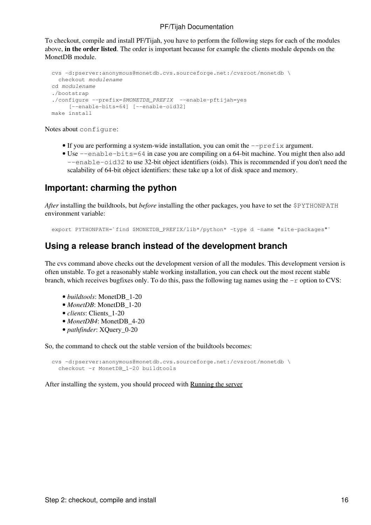To checkout, compile and install PF/Tijah, you have to perform the following steps for each of the modules above, **in the order listed**. The order is important because for example the clients module depends on the MonetDB module.

```
 cvs -d:pserver:anonymous@monetdb.cvs.sourceforge.net:/cvsroot/monetdb \
   checkout modulename
 cd modulename
 ./bootstrap
 ./configure --prefix=$MONETDB_PREFIX --enable-pftijah=yes 
      [--enable-bits=64] [--enable-oid32]
 make install
```
Notes about configure:

- If you are performing a system-wide installation, you can omit the  $-\text{prefix}$  argument.
- Use --enable-bits=64 in case you are compiling on a 64-bit machine. You might then also add --enable-oid32 to use 32-bit object identifiers (oids). This is recommended if you don't need the scalability of 64-bit object identifiers: these take up a lot of disk space and memory.

### **Important: charming the python**

*After* installing the buildtools, but *before* installing the other packages, you have to set the \$PYTHONPATH environment variable:

export PYTHONPATH=`find \$MONETDB\_PREFIX/lib\*/python\* -type d -name "site-packages"`

### **Using a release branch instead of the development branch**

The cvs command above checks out the development version of all the modules. This development version is often unstable. To get a reasonably stable working installation, you can check out the most recent stable branch, which receives bugfixes only. To do this, pass the following tag names using the  $-r$  option to CVS:

- *buildtools*: MonetDB\_1-20
- *MonetDB*: MonetDB 1-20
- *clients*: Clients\_1-20
- *MonetDB4*: MonetDB\_4-20
- *pathfinder*: XQuery\_0-20

So, the command to check out the stable version of the buildtools becomes:

```
 cvs -d:pserver:anonymous@monetdb.cvs.sourceforge.net:/cvsroot/monetdb \ 
   checkout -r MonetDB_1-20 buildtools
```
After installing the system, you should proceed with Running the server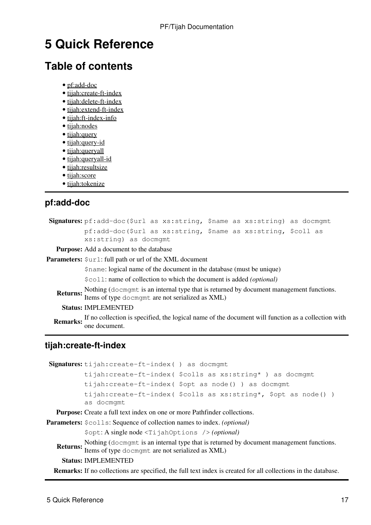## **5 Quick Reference**

### **Table of contents**

- pf:add-doc
- tijah:create-ft-index
- tijah:delete-ft-index
- tijah:extend-ft-index
- tijah:ft-index-info
- tijah:nodes
- tijah:query
- tijah:query-id
- tijah:queryall
- tijah:queryall-id
- tijah:resultsize
- tijah:score
- tijah:tokenize

### **pf:add-doc**

**Signatures:** pf:add-doc(\$url as xs:string, \$name as xs:string) as docmgmt pf:add-doc(\$url as xs:string, \$name as xs:string, \$coll as xs:string) as docmgmt

**Purpose:** Add a document to the database

**Parameters:**  $\text{Surl: full path or url of the XML document}$ 

\$name: logical name of the document in the database (must be unique)

\$coll: name of collection to which the document is added *(optional)*

**Returns:** Nothing (docmgmt is an internal type that is returned by document management functions. Items of type docmgmt are not serialized as XML)

**Status:** IMPLEMENTED

**Remarks:** If no collection is specified, the logical name of the document will function as a collection with one document.

### **tijah:create-ft-index**

**Signatures:** tijah:create-ft-index( ) as docmgmt

```
tijah:create-ft-index( $colls as xs:string* ) as docmgmt
tijah:create-ft-index( $opt as node() ) as docmgmt
tijah:create-ft-index( $colls as xs:string*, $opt as node() )
as docmgmt
```
**Purpose:** Create a full text index on one or more Pathfinder collections.

**Parameters:**  $\frac{1}{5} \text{colls}$ : Sequence of collection names to index. *(optional)* 

\$opt: A single node <TijahOptions /> *(optional)*

Returns: Nothing (docmgmt is an internal type that is returned by document management functions. Items of type docmgmt are not serialized as XML)

#### **Status:** IMPLEMENTED

**Remarks:** If no collections are specified, the full text index is created for all collections in the database.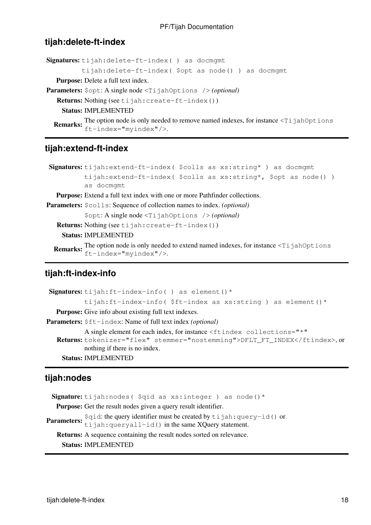#### **tijah:delete-ft-index**

**Signatures:** tijah:delete-ft-index( ) as docmgmt

tijah:delete-ft-index( \$opt as node() ) as docmgmt

**Purpose:** Delete a full text index.

**Parameters:**  $\text{Spot: A single node } \text{TI} \text{ jahOptions}$  /> *(optional)* 

**Returns:** Nothing (see tijah: create-ft-index())

**Status:** IMPLEMENTED

**Remarks:** The option node is only needed to remove named indexes, for instance <TijahOptions ft-index="myindex"/>.

### **tijah:extend-ft-index**

```
Signatures: tijah:extend-ft-index( $colls as xs:string* ) as docmgmt
         tijah:extend-ft-index( $colls as xs:string*, $opt as node() )
         as docmgmt
```
**Purpose:** Extend a full text index with one or more Pathfinder collections.

**Parameters:** \$colls: Sequence of collection names to index. *(optional)*

\$opt: A single node <TijahOptions /> *(optional)*

**Returns:** Nothing (see tijah:create-ft-index())

**Status:** IMPLEMENTED

**Remarks:** The option node is only needed to extend named indexes, for instance <TijahOptions  $ft$ -index="myindex"/>.

### **tijah:ft-index-info**

```
Signatures: tijah: ft-index-info() as element() *
           tijah:ft-index-info( $ft-index as xs:string ) as element()*
  Purpose: Give info about existing full text indexes.
Parameters: $ft-index: Name of full text index (optional)Returns:
tokenizer="flex" stemmer="nostemming">DFLT_FT_INDEX</ftindex>, or
           A single element for each index, for instance <ftindex collections="*"
           nothing if there is no index.
    Status: IMPLEMENTED
```
### **tijah:nodes**

```
Signature: tijah:nodes( $qid as xs:integer ) as node()*
   Purpose: Get the result nodes given a query result identifier.
Parameters: $qid: the query identifier must be created by tijah:query-id() or
            tijah: queryall-id() in the same XQuery statement.
   Returns: A sequence containing the result nodes sorted on relevance.
     Status: IMPLEMENTED
```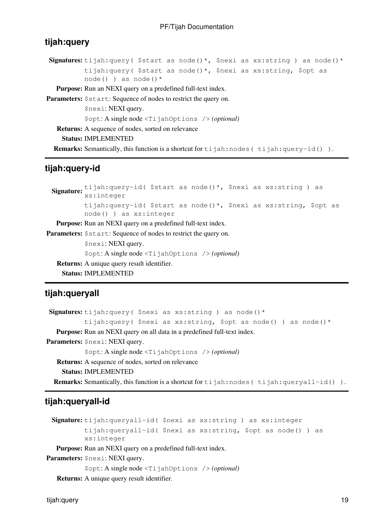#### **tijah:query**

```
Signatures: tijah: query ($start as node()*, $nexi as xs: string ) as node()*
         tijah:query( $start as node()*, $nexi as xs:string, $opt as
         node() ) as node() *
```
**Purpose:** Run an NEXI query on a predefined full-text index.

Parameters:  $$start: Sequence of nodes to restrict the query on.$ 

\$nexi: NEXI query.

\$opt: A single node <TijahOptions /> *(optional)*

**Returns:** A sequence of nodes, sorted on relevance

**Status:** IMPLEMENTED

**Remarks:** Semantically, this function is a shortcut for tijah:nodes( tijah:query-id() ).

#### **tijah:query-id**

Signature: tijah:query-id( \$start as node()\*, \$nexi as xs:string ) as<br>xs:integer tijah:query-id( \$start as node()\*, \$nexi as xs:string, \$opt as node() ) as xs:integer **Purpose:** Run an NEXI query on a predefined full-text index. **Parameters:**  $$start: Sequence of nodes to restrict the query on.$ \$nexi: NEXI query. \$opt: A single node <TijahOptions /> *(optional)* **Returns:** A unique query result identifier.

**Status:** IMPLEMENTED

### **tijah:queryall**

```
Signatures: tijah:query( $nexi as xs:string ) as node()*
           tijah:query( $nexi as xs:string, $opt as node() ) as node() *Purpose: Run an NEXI query on all data in a predefined full-text index.
Parameters: $nexi: NEXI query.
           $opt: A single node <TijahOptions /> (optional)
   Returns: A sequence of nodes, sorted on relevance
```
**Status:** IMPLEMENTED

**Remarks:** Semantically, this function is a shortcut for tijah:nodes( tijah:queryall-id()).

### **tijah:queryall-id**

**Signature:** tijah:queryall-id( \$nexi as xs:string ) as xs:integer tijah:queryall-id( \$nexi as xs:string, \$opt as node() ) as xs:integer

**Purpose:** Run an NEXI query on a predefined full-text index.

**Parameters:** \$nexi: NEXI query.

\$opt: A single node <TijahOptions /> *(optional)*

**Returns:** A unique query result identifier.